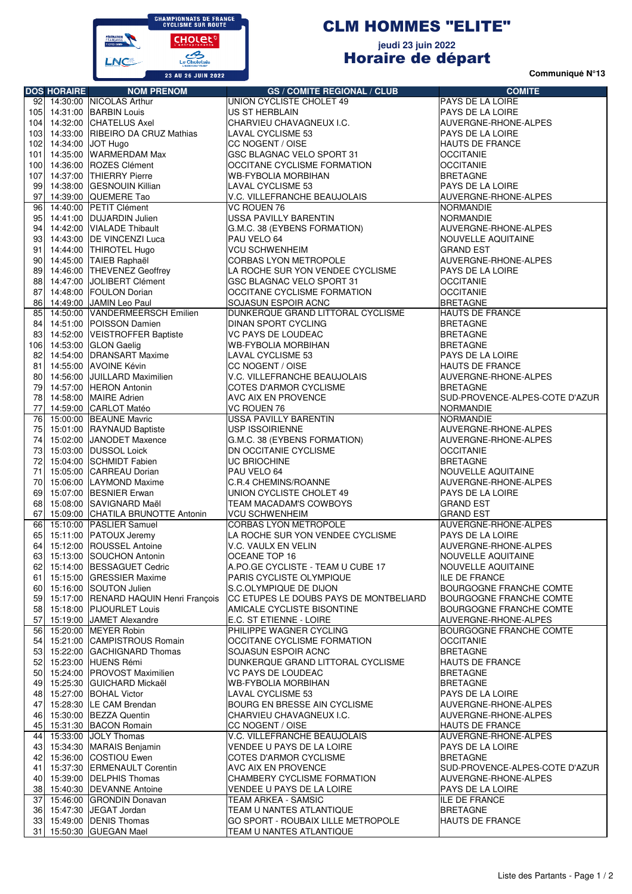

## CLM HOMMES "ELITE"

## **jeudi 23 juin 2022** Horaire de départ

**Communiqué N°13**

|                  | <b>DOS HORAIRE</b>    | <b>NOM PRENOM</b>                        | <b>GS / COMITE REGIONAL / CLUB</b>     | <b>COMITE</b>                  |
|------------------|-----------------------|------------------------------------------|----------------------------------------|--------------------------------|
|                  |                       | 92 14:30:00 NICOLAS Arthur               | UNION CYCLISTE CHOLET 49               | PAYS DE LA LOIRE               |
|                  |                       | 105 14:31:00 BARBIN Louis                | US ST HERBLAIN                         | PAYS DE LA LOIRE               |
|                  |                       | 104 14:32:00 CHATELUS Axel               | CHARVIEU CHAVAGNEUX I.C.               |                                |
|                  |                       |                                          |                                        | AUVERGNE-RHONE-ALPES           |
| 103              | 14:33:00              | RIBEIRO DA CRUZ Mathias                  | LAVAL CYCLISME 53                      | PAYS DE LA LOIRE               |
|                  | 102 14:34:00 JOT Hugo |                                          | CC NOGENT / OISE                       | HAUTS DE FRANCE                |
|                  |                       | 101 14:35:00 WARMERDAM Max               | GSC BLAGNAC VELO SPORT 31              | <b>OCCITANIE</b>               |
| 100 <sub>1</sub> | 14:36:00              | ROZES Clément                            | OCCITANE CYCLISME FORMATION            | <b>OCCITANIE</b>               |
| 107              |                       | 14:37:00 THIERRY Pierre                  | WB-FYBOLIA MORBIHAN                    | <b>BRETAGNE</b>                |
| 99               |                       | 14:38:00 GESNOUIN Killian                | LAVAL CYCLISME 53                      | PAYS DE LA LOIRE               |
|                  |                       | 97 14:39:00 QUEMERE Tao                  | V.C. VILLEFRANCHE BEAUJOLAIS           | AUVERGNE-RHONE-ALPES           |
|                  |                       | 96 14:40:00 PETIT Clément                | VC ROUEN 76                            | <b>NORMANDIE</b>               |
|                  |                       | 95 14:41:00 DUJARDIN Julien              | USSA PAVILLY BARENTIN                  | <b>NORMANDIE</b>               |
| 94               |                       | 14:42:00 VIALADE Thibault                | G.M.C. 38 (EYBENS FORMATION)           | AUVERGNE-RHONE-ALPES           |
| 93               |                       | 14:43:00   DE VINCENZI Luca              | PAU VELO 64                            | NOUVELLE AQUITAINE             |
| 91               |                       | 14:44:00 THIROTEL Hugo                   | <b>VCU SCHWENHEIM</b>                  | <b>GRAND EST</b>               |
| 90               |                       | 14:45:00 TAIEB Raphaël                   | CORBAS LYON METROPOLE                  | AUVERGNE-RHONE-ALPES           |
| 89               |                       | 14:46:00 THEVENEZ Geoffrey               | LA ROCHE SUR YON VENDEE CYCLISME       | PAYS DE LA LOIRE               |
| 88               |                       | 14:47:00 JOLIBERT Clément                | GSC BLAGNAC VELO SPORT 31              | <b>OCCITANIE</b>               |
| 87               |                       | 14:48:00 FOULON Dorian                   | OCCITANE CYCLISME FORMATION            | <b>OCCITANIE</b>               |
|                  |                       | 86 14:49:00 JAMIN Leo Paul               | SOJASUN ESPOIR ACNC                    | <b>BRETAGNE</b>                |
|                  | 14:50:00              |                                          |                                        | <b>HAUTS DE FRANCE</b>         |
| 85               |                       | <b>VANDERMEERSCH Emilien</b>             | DUNKERQUE GRAND LITTORAL CYCLISME      |                                |
| 84               |                       | 14:51:00 POISSON Damien                  | <b>DINAN SPORT CYCLING</b>             | <b>BRETAGNE</b>                |
| 83               |                       | 14:52:00 VEISTROFFER Baptiste            | <b>VC PAYS DE LOUDEAC</b>              | <b>BRETAGNE</b>                |
| 1061             |                       | 14:53:00 GLON Gaelig                     | <b>WB-FYBOLIA MORBIHAN</b>             | <b>BRETAGNE</b>                |
| 82               |                       | 14:54:00 DRANSART Maxime                 | <b>LAVAL CYCLISME 53</b>               | PAYS DE LA LOIRE               |
|                  |                       | 81 14:55:00 AVOINE Kévin                 | CC NOGENT / OISE                       | <b>HAUTS DE FRANCE</b>         |
| 80               |                       | 14:56:00 JUILLARD Maximilien             | V.C. VILLEFRANCHE BEAUJOLAIS           | AUVERGNE-RHONE-ALPES           |
| 79               |                       | 14:57:00 HERON Antonin                   | COTES D'ARMOR CYCLISME                 | <b>BRETAGNE</b>                |
| 78               |                       | 14:58:00 MAIRE Adrien                    | AVC AIX EN PROVENCE                    | SUD-PROVENCE-ALPES-COTE D'AZUR |
| 77               |                       | 14:59:00 CARLOT Matéo                    | VC ROUEN 76                            | <b>NORMANDIE</b>               |
| 76               |                       | 15:00:00 BEAUNE Mavric                   | USSA PAVILLY BARENTIN                  | <b>NORMANDIE</b>               |
| 75               |                       | 15:01:00 RAYNAUD Baptiste                | <b>USP ISSOIRIENNE</b>                 | AUVERGNE-RHONE-ALPES           |
| 74               | 15:02:00              | JANODET Maxence                          | G.M.C. 38 (EYBENS FORMATION)           | AUVERGNE-RHONE-ALPES           |
| 73               |                       | 15:03:00 DUSSOL Loick                    | DN OCCITANIE CYCLISME                  | <b>OCCITANIE</b>               |
| 72               |                       | 15:04:00 SCHMIDT Fabien                  | <b>UC BRIOCHINE</b>                    | <b>BRETAGNE</b>                |
| 71               |                       | 15:05:00 CARREAU Dorian                  | PAU VELO 64                            | <b>NOUVELLE AQUITAINE</b>      |
|                  |                       |                                          |                                        |                                |
| 70               |                       | 15:06:00 LAYMOND Maxime                  | C.R.4 CHEMINS/ROANNE                   | AUVERGNE-RHONE-ALPES           |
| 69               |                       | 15:07:00 BESNIER Erwan                   | UNION CYCLISTE CHOLET 49               | PAYS DE LA LOIRE               |
| 68               |                       | 15:08:00 SAVIGNARD Maël                  | TEAM MACADAM'S COWBOYS                 | <b>GRAND EST</b>               |
| 67               |                       | 15:09:00 CHATILA BRUNOTTE Antonin        | <b>VCU SCHWENHEIM</b>                  | <b>GRAND EST</b>               |
| 66               |                       | 15:10:00 PASLIER Samuel                  | <b>CORBAS LYON METROPOLE</b>           | AUVERGNE-RHONE-ALPES           |
| 65               |                       | 15:11:00 PATOUX Jeremy                   | LA ROCHE SUR YON VENDEE CYCLISME       | PAYS DE LA LOIRE               |
|                  |                       | 64 15:12:00 ROUSSEL Antoine              | V.C. VAULX EN VELIN                    | AUVERGNE-RHONE-ALPES           |
|                  |                       | 63 15:13:00 SOUCHON Antonin              | OCEANE TOP 16                          | NOUVELLE AQUITAINE             |
|                  |                       | 62 15:14:00 BESSAGUET Cedric             | A.PO.GE CYCLISTE - TEAM U CUBE 17      | NOUVELLE AQUITAINE             |
|                  |                       | 61 15:15:00 GRESSIER Maxime              | PARIS CYCLISTE OLYMPIQUE               | <b>ILE DE FRANCE</b>           |
|                  |                       | 60 15:16:00 SOUTON Julien                | S.C.OLYMPIQUE DE DIJON                 | BOURGOGNE FRANCHE COMTE        |
|                  |                       | 59 15:17:00 RENARD HAQUIN Henri François | CC ETUPES LE DOUBS PAYS DE MONTBELIARD | BOURGOGNE FRANCHE COMTE        |
|                  |                       | 58 15:18:00 PIJOURLET Louis              | AMICALE CYCLISTE BISONTINE             | BOURGOGNE FRANCHE COMTE        |
|                  |                       | 57 15:19:00 JAMET Alexandre              | E.C. ST ETIENNE - LOIRE                | AUVERGNE-RHONE-ALPES           |
|                  |                       | 56 15:20:00 MEYER Robin                  | PHILIPPE WAGNER CYCLING                | BOURGOGNE FRANCHE COMTE        |
|                  |                       | 54 15:21:00 CAMPISTROUS Romain           | OCCITANE CYCLISME FORMATION            | <b>OCCITANIE</b>               |
|                  |                       | 53 15:22:00 GACHIGNARD Thomas            | SOJASUN ESPOIR ACNC                    | <b>BRETAGNE</b>                |
|                  |                       | 52 15:23:00 HUENS Rémi                   | DUNKERQUE GRAND LITTORAL CYCLISME      | <b>HAUTS DE FRANCE</b>         |
|                  |                       | 50 15:24:00 PROVOST Maximilien           | <b>VC PAYS DE LOUDEAC</b>              | <b>BRETAGNE</b>                |
|                  |                       | 49 15:25:30 GUICHARD Mickaël             |                                        | <b>BRETAGNE</b>                |
|                  |                       |                                          | <b>WB-FYBOLIA MORBIHAN</b>             |                                |
|                  |                       | 48 15:27:00 BOHAL Victor                 | LAVAL CYCLISME 53                      | PAYS DE LA LOIRE               |
|                  |                       | 47 15:28:30 LE CAM Brendan               | BOURG EN BRESSE AIN CYCLISME           | AUVERGNE-RHONE-ALPES           |
|                  |                       | 46 15:30:00 BEZZA Quentin                | CHARVIEU CHAVAGNEUX I.C.               | AUVERGNE-RHONE-ALPES           |
|                  |                       | 45 15:31:30 BACON Romain                 | CC NOGENT / OISE                       | <b>HAUTS DE FRANCE</b>         |
|                  |                       | 44 15:33:00 JOLY Thomas                  | V.C. VILLEFRANCHE BEAUJOLAIS           | AUVERGNE-RHONE-ALPES           |
|                  |                       | 43 15:34:30 MARAIS Benjamin              | VENDEE U PAYS DE LA LOIRE              | PAYS DE LA LOIRE               |
|                  |                       | 42 15:36:00 COSTIOU Ewen                 | COTES D'ARMOR CYCLISME                 | <b>BRETAGNE</b>                |
|                  |                       | 41 15:37:30 ERMENAULT Corentin           | AVC AIX EN PROVENCE                    | SUD-PROVENCE-ALPES-COTE D'AZUR |
|                  |                       | 40 15:39:00 DELPHIS Thomas               | CHAMBERY CYCLISME FORMATION            | AUVERGNE-RHONE-ALPES           |
|                  |                       | 38 15:40:30 DEVANNE Antoine              | VENDEE U PAYS DE LA LOIRE              | PAYS DE LA LOIRE               |
|                  |                       | 37 15:46:00 GRONDIN Donavan              | TEAM ARKEA - SAMSIC                    | <b>ILE DE FRANCE</b>           |
|                  |                       | 36 15:47:30 JEGAT Jordan                 | TEAM U NANTES ATLANTIQUE               | <b>BRETAGNE</b>                |
|                  |                       | 33 15:49:00 DENIS Thomas                 | GO SPORT - ROUBAIX LILLE METROPOLE     | <b>HAUTS DE FRANCE</b>         |
|                  |                       | 31 15:50:30 GUEGAN Mael                  | TEAM U NANTES ATLANTIQUE               |                                |